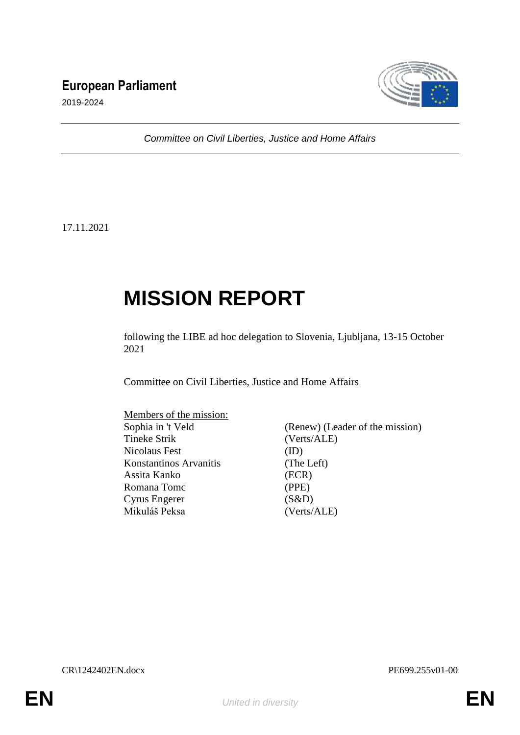# **European Parliament**



2019-2024

*Committee on Civil Liberties, Justice and Home Affairs*

17.11.2021

# **MISSION REPORT**

following the LIBE ad hoc delegation to Slovenia, Ljubljana, 13-15 October 2021

Committee on Civil Liberties, Justice and Home Affairs

| Members of the mission: |                                 |
|-------------------------|---------------------------------|
| Sophia in 't Veld       | (Renew) (Leader of the mission) |
| <b>Tineke Strik</b>     | (Verts/ALE)                     |
| Nicolaus Fest           | (ID)                            |
| Konstantinos Arvanitis  | (The Left)                      |
| Assita Kanko            | (ECR)                           |
| Romana Tomc             | (PPE)                           |
| Cyrus Engerer           | (S&D)                           |
| Mikuláš Peksa           | (Verts/ALE)                     |

CR\1242402EN.docx PE699.255v01-00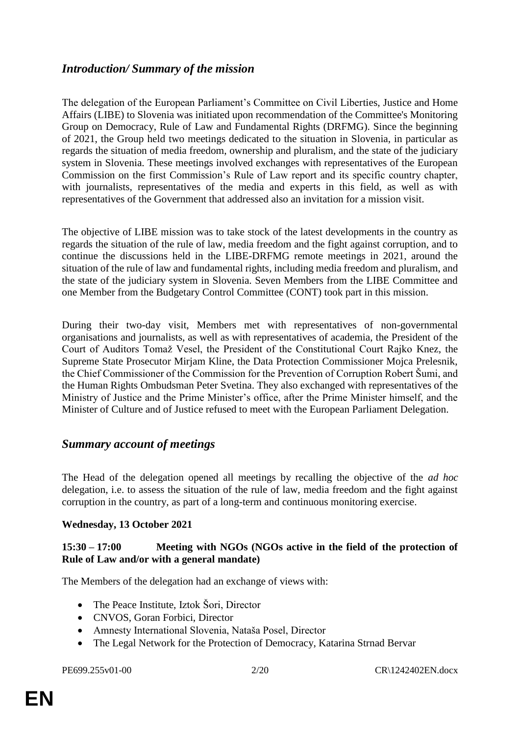# *Introduction/ Summary of the mission*

The delegation of the European Parliament's Committee on Civil Liberties, Justice and Home Affairs (LIBE) to Slovenia was initiated upon recommendation of the Committee's Monitoring Group on Democracy, Rule of Law and Fundamental Rights (DRFMG). Since the beginning of 2021, the Group held two meetings dedicated to the situation in Slovenia, in particular as regards the situation of media freedom, ownership and pluralism, and the state of the judiciary system in Slovenia. These meetings involved exchanges with representatives of the European Commission on the first Commission's Rule of Law report and its specific country chapter, with journalists, representatives of the media and experts in this field, as well as with representatives of the Government that addressed also an invitation for a mission visit.

The objective of LIBE mission was to take stock of the latest developments in the country as regards the situation of the rule of law, media freedom and the fight against corruption, and to continue the discussions held in the LIBE-DRFMG remote meetings in 2021, around the situation of the rule of law and fundamental rights, including media freedom and pluralism, and the state of the judiciary system in Slovenia. Seven Members from the LIBE Committee and one Member from the Budgetary Control Committee (CONT) took part in this mission.

During their two-day visit, Members met with representatives of non-governmental organisations and journalists, as well as with representatives of academia, the President of the Court of Auditors Tomaž Vesel, the President of the Constitutional Court Rajko Knez, the Supreme State Prosecutor Mirjam Kline, the Data Protection Commissioner Mojca Prelesnik, the Chief Commissioner of the Commission for the Prevention of Corruption Robert Šumi, and the Human Rights Ombudsman Peter Svetina. They also exchanged with representatives of the Ministry of Justice and the Prime Minister's office, after the Prime Minister himself, and the Minister of Culture and of Justice refused to meet with the European Parliament Delegation.

### *Summary account of meetings*

The Head of the delegation opened all meetings by recalling the objective of the *ad hoc* delegation, i.e. to assess the situation of the rule of law, media freedom and the fight against corruption in the country, as part of a long-term and continuous monitoring exercise.

#### **Wednesday, 13 October 2021**

#### **15:30 – 17:00 Meeting with NGOs (NGOs active in the field of the protection of Rule of Law and/or with a general mandate)**

The Members of the delegation had an exchange of views with:

- The Peace Institute, Iztok Šori, Director
- CNVOS, Goran Forbici, Director
- Amnesty International Slovenia, Nataša Posel, Director
- The Legal Network for the Protection of Democracy, Katarina Strnad Bervar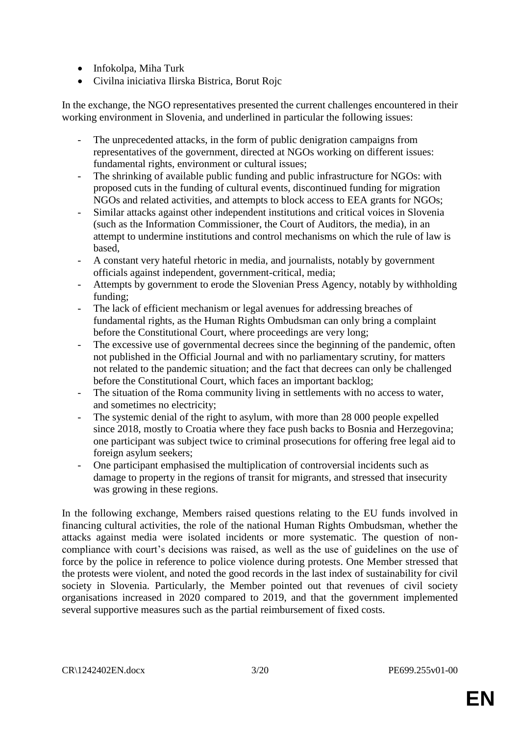- Infokolpa, Miha Turk
- Civilna iniciativa Ilirska Bistrica, Borut Rojc

In the exchange, the NGO representatives presented the current challenges encountered in their working environment in Slovenia, and underlined in particular the following issues:

- The unprecedented attacks, in the form of public denigration campaigns from representatives of the government, directed at NGOs working on different issues: fundamental rights, environment or cultural issues;
- The shrinking of available public funding and public infrastructure for NGOs: with proposed cuts in the funding of cultural events, discontinued funding for migration NGOs and related activities, and attempts to block access to EEA grants for NGOs;
- Similar attacks against other independent institutions and critical voices in Slovenia (such as the Information Commissioner, the Court of Auditors, the media), in an attempt to undermine institutions and control mechanisms on which the rule of law is based,
- A constant very hateful rhetoric in media, and journalists, notably by government officials against independent, government-critical, media;
- Attempts by government to erode the Slovenian Press Agency, notably by withholding funding;
- The lack of efficient mechanism or legal avenues for addressing breaches of fundamental rights, as the Human Rights Ombudsman can only bring a complaint before the Constitutional Court, where proceedings are very long;
- The excessive use of governmental decrees since the beginning of the pandemic, often not published in the Official Journal and with no parliamentary scrutiny, for matters not related to the pandemic situation; and the fact that decrees can only be challenged before the Constitutional Court, which faces an important backlog;
- The situation of the Roma community living in settlements with no access to water, and sometimes no electricity;
- The systemic denial of the right to asylum, with more than 28 000 people expelled since 2018, mostly to Croatia where they face push backs to Bosnia and Herzegovina; one participant was subject twice to criminal prosecutions for offering free legal aid to foreign asylum seekers;
- One participant emphasised the multiplication of controversial incidents such as damage to property in the regions of transit for migrants, and stressed that insecurity was growing in these regions.

In the following exchange, Members raised questions relating to the EU funds involved in financing cultural activities, the role of the national Human Rights Ombudsman, whether the attacks against media were isolated incidents or more systematic. The question of noncompliance with court's decisions was raised, as well as the use of guidelines on the use of force by the police in reference to police violence during protests. One Member stressed that the protests were violent, and noted the good records in the last index of sustainability for civil society in Slovenia. Particularly, the Member pointed out that revenues of civil society organisations increased in 2020 compared to 2019, and that the government implemented several supportive measures such as the partial reimbursement of fixed costs.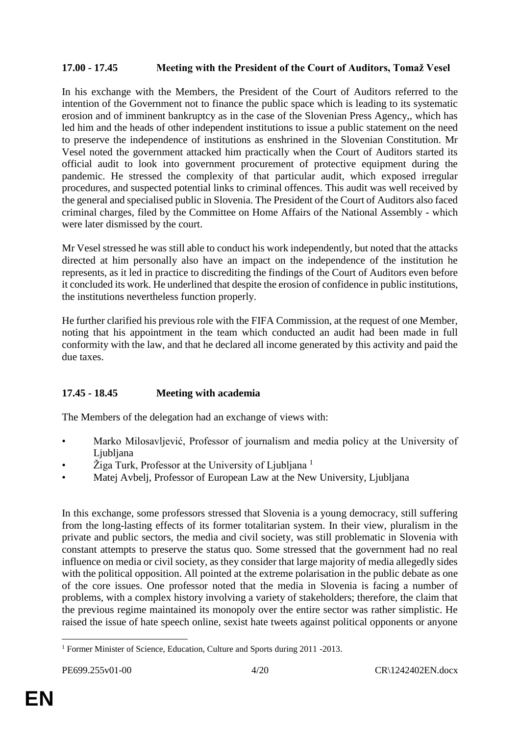#### **17.00 - 17.45 Meeting with the President of the Court of Auditors, Tomaž Vesel**

In his exchange with the Members, the President of the Court of Auditors referred to the intention of the Government not to finance the public space which is leading to its systematic erosion and of imminent bankruptcy as in the case of the Slovenian Press Agency,, which has led him and the heads of other independent institutions to issue a public statement on the need to preserve the independence of institutions as enshrined in the Slovenian Constitution. Mr Vesel noted the government attacked him practically when the Court of Auditors started its official audit to look into government procurement of protective equipment during the pandemic. He stressed the complexity of that particular audit, which exposed irregular procedures, and suspected potential links to criminal offences. This audit was well received by the general and specialised public in Slovenia. The President of the Court of Auditors also faced criminal charges, filed by the Committee on Home Affairs of the National Assembly - which were later dismissed by the court.

Mr Vesel stressed he was still able to conduct his work independently, but noted that the attacks directed at him personally also have an impact on the independence of the institution he represents, as it led in practice to discrediting the findings of the Court of Auditors even before it concluded its work. He underlined that despite the erosion of confidence in public institutions, the institutions nevertheless function properly.

He further clarified his previous role with the FIFA Commission, at the request of one Member, noting that his appointment in the team which conducted an audit had been made in full conformity with the law, and that he declared all income generated by this activity and paid the due taxes.

### **17.45 - 18.45 Meeting with academia**

The Members of the delegation had an exchange of views with:

- Marko Milosavljević, Professor of journalism and media policy at the University of Ljubljana
- $\check{Z}$ iga Turk, Professor at the University of Ljubljana<sup>1</sup>
- Matej Avbelj, Professor of European Law at the New University, Ljubljana

In this exchange, some professors stressed that Slovenia is a young democracy, still suffering from the long-lasting effects of its former totalitarian system. In their view, pluralism in the private and public sectors, the media and civil society, was still problematic in Slovenia with constant attempts to preserve the status quo. Some stressed that the government had no real influence on media or civil society, as they consider that large majority of media allegedly sides with the political opposition. All pointed at the extreme polarisation in the public debate as one of the core issues. One professor noted that the media in Slovenia is facing a number of problems, with a complex history involving a variety of stakeholders; therefore, the claim that the previous regime maintained its monopoly over the entire sector was rather simplistic. He raised the issue of hate speech online, sexist hate tweets against political opponents or anyone

 $\overline{a}$ <sup>1</sup> Former Minister of Science, Education, Culture and Sports during 2011 -2013.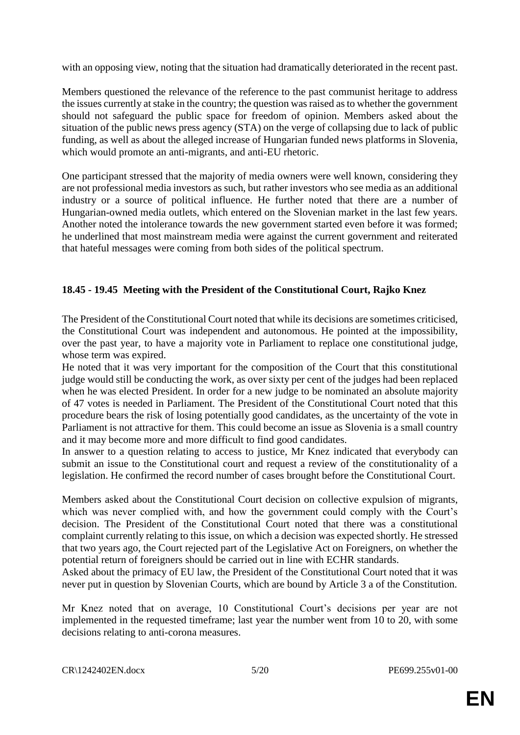with an opposing view, noting that the situation had dramatically deteriorated in the recent past.

Members questioned the relevance of the reference to the past communist heritage to address the issues currently at stake in the country; the question was raised as to whether the government should not safeguard the public space for freedom of opinion. Members asked about the situation of the public news press agency (STA) on the verge of collapsing due to lack of public funding, as well as about the alleged increase of Hungarian funded news platforms in Slovenia, which would promote an anti-migrants, and anti-EU rhetoric.

One participant stressed that the majority of media owners were well known, considering they are not professional media investors as such, but rather investors who see media as an additional industry or a source of political influence. He further noted that there are a number of Hungarian-owned media outlets, which entered on the Slovenian market in the last few years. Another noted the intolerance towards the new government started even before it was formed; he underlined that most mainstream media were against the current government and reiterated that hateful messages were coming from both sides of the political spectrum.

#### **18.45 - 19.45 Meeting with the President of the Constitutional Court, Rajko Knez**

The President of the Constitutional Court noted that while its decisions are sometimes criticised, the Constitutional Court was independent and autonomous. He pointed at the impossibility, over the past year, to have a majority vote in Parliament to replace one constitutional judge, whose term was expired.

He noted that it was very important for the composition of the Court that this constitutional judge would still be conducting the work, as over sixty per cent of the judges had been replaced when he was elected President. In order for a new judge to be nominated an absolute majority of 47 votes is needed in Parliament. The President of the Constitutional Court noted that this procedure bears the risk of losing potentially good candidates, as the uncertainty of the vote in Parliament is not attractive for them. This could become an issue as Slovenia is a small country and it may become more and more difficult to find good candidates.

In answer to a question relating to access to justice, Mr Knez indicated that everybody can submit an issue to the Constitutional court and request a review of the constitutionality of a legislation. He confirmed the record number of cases brought before the Constitutional Court.

Members asked about the Constitutional Court decision on collective expulsion of migrants, which was never complied with, and how the government could comply with the Court's decision. The President of the Constitutional Court noted that there was a constitutional complaint currently relating to this issue, on which a decision was expected shortly. He stressed that two years ago, the Court rejected part of the Legislative Act on Foreigners, on whether the potential return of foreigners should be carried out in line with ECHR standards.

Asked about the primacy of EU law, the President of the Constitutional Court noted that it was never put in question by Slovenian Courts, which are bound by Article 3 a of the Constitution.

Mr Knez noted that on average, 10 Constitutional Court's decisions per year are not implemented in the requested timeframe; last year the number went from 10 to 20, with some decisions relating to anti-corona measures.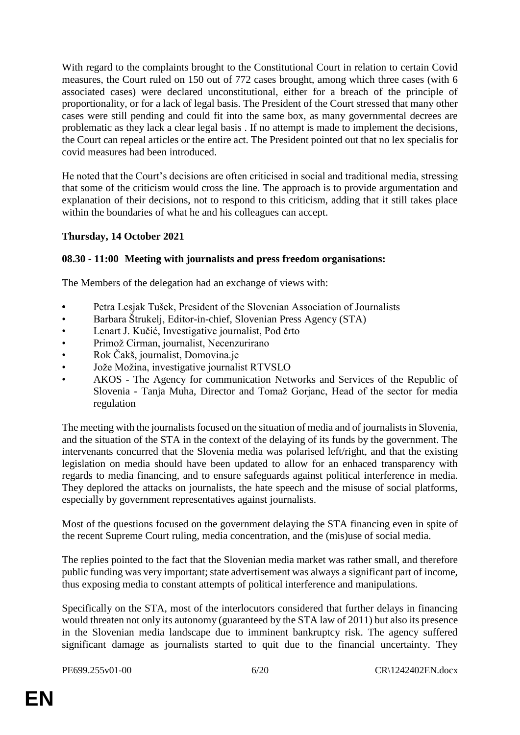With regard to the complaints brought to the Constitutional Court in relation to certain Covid measures, the Court ruled on 150 out of 772 cases brought, among which three cases (with 6 associated cases) were declared unconstitutional, either for a breach of the principle of proportionality, or for a lack of legal basis. The President of the Court stressed that many other cases were still pending and could fit into the same box, as many governmental decrees are problematic as they lack a clear legal basis . If no attempt is made to implement the decisions, the Court can repeal articles or the entire act. The President pointed out that no lex specialis for covid measures had been introduced.

He noted that the Court's decisions are often criticised in social and traditional media, stressing that some of the criticism would cross the line. The approach is to provide argumentation and explanation of their decisions, not to respond to this criticism, adding that it still takes place within the boundaries of what he and his colleagues can accept.

#### **Thursday, 14 October 2021**

#### **08.30 - 11:00 Meeting with journalists and press freedom organisations:**

The Members of the delegation had an exchange of views with:

- **•** Petra Lesjak Tušek, President of the Slovenian Association of Journalists
- Barbara Štrukelj, Editor-in-chief, Slovenian Press Agency (STA)
- Lenart J. Kučić, Investigative journalist, Pod črto
- Primož Cirman, journalist, Necenzurirano
- Rok Čakš, journalist, Domovina.je
- Jože Možina, investigative journalist RTVSLO
- AKOS The Agency for communication Networks and Services of the Republic of Slovenia - Tanja Muha, Director and Tomaž Gorjanc, Head of the sector for media regulation

The meeting with the journalists focused on the situation of media and of journalists in Slovenia, and the situation of the STA in the context of the delaying of its funds by the government. The intervenants concurred that the Slovenia media was polarised left/right, and that the existing legislation on media should have been updated to allow for an enhaced transparency with regards to media financing, and to ensure safeguards against political interference in media. They deplored the attacks on journalists, the hate speech and the misuse of social platforms, especially by government representatives against journalists.

Most of the questions focused on the government delaying the STA financing even in spite of the recent Supreme Court ruling, media concentration, and the (mis)use of social media.

The replies pointed to the fact that the Slovenian media market was rather small, and therefore public funding was very important; state advertisement was always a significant part of income, thus exposing media to constant attempts of political interference and manipulations.

Specifically on the STA, most of the interlocutors considered that further delays in financing would threaten not only its autonomy (guaranteed by the STA law of 2011) but also its presence in the Slovenian media landscape due to imminent bankruptcy risk. The agency suffered significant damage as journalists started to quit due to the financial uncertainty. They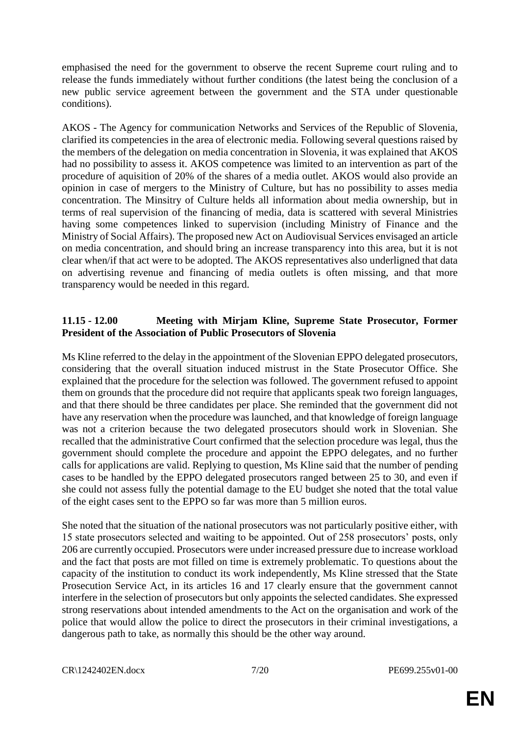emphasised the need for the government to observe the recent Supreme court ruling and to release the funds immediately without further conditions (the latest being the conclusion of a new public service agreement between the government and the STA under questionable conditions).

AKOS - The Agency for communication Networks and Services of the Republic of Slovenia, clarified its competencies in the area of electronic media. Following several questions raised by the members of the delegation on media concentration in Slovenia, it was explained that AKOS had no possibility to assess it. AKOS competence was limited to an intervention as part of the procedure of aquisition of 20% of the shares of a media outlet. AKOS would also provide an opinion in case of mergers to the Ministry of Culture, but has no possibility to asses media concentration. The Minsitry of Culture helds all information about media ownership, but in terms of real supervision of the financing of media, data is scattered with several Ministries having some competences linked to supervision (including Ministry of Finance and the Ministry of Social Affairs). The proposed new Act on Audiovisual Services envisaged an article on media concentration, and should bring an increase transparency into this area, but it is not clear when/if that act were to be adopted. The AKOS representatives also underligned that data on advertising revenue and financing of media outlets is often missing, and that more transparency would be needed in this regard.

#### **11.15 - 12.00 Meeting with Mirjam Kline, Supreme State Prosecutor, Former President of the Association of Public Prosecutors of Slovenia**

Ms Kline referred to the delay in the appointment of the Slovenian EPPO delegated prosecutors, considering that the overall situation induced mistrust in the State Prosecutor Office. She explained that the procedure for the selection was followed. The government refused to appoint them on grounds that the procedure did not require that applicants speak two foreign languages, and that there should be three candidates per place. She reminded that the government did not have any reservation when the procedure was launched, and that knowledge of foreign language was not a criterion because the two delegated prosecutors should work in Slovenian. She recalled that the administrative Court confirmed that the selection procedure was legal, thus the government should complete the procedure and appoint the EPPO delegates, and no further calls for applications are valid. Replying to question, Ms Kline said that the number of pending cases to be handled by the EPPO delegated prosecutors ranged between 25 to 30, and even if she could not assess fully the potential damage to the EU budget she noted that the total value of the eight cases sent to the EPPO so far was more than 5 million euros.

She noted that the situation of the national prosecutors was not particularly positive either, with 15 state prosecutors selected and waiting to be appointed. Out of 258 prosecutors' posts, only 206 are currently occupied. Prosecutors were under increased pressure due to increase workload and the fact that posts are mot filled on time is extremely problematic. To questions about the capacity of the institution to conduct its work independently, Ms Kline stressed that the State Prosecution Service Act, in its articles 16 and 17 clearly ensure that the government cannot interfere in the selection of prosecutors but only appoints the selected candidates. She expressed strong reservations about intended amendments to the Act on the organisation and work of the police that would allow the police to direct the prosecutors in their criminal investigations, a dangerous path to take, as normally this should be the other way around.

CR\1242402EN.docx 7/20 PE699.255v01-00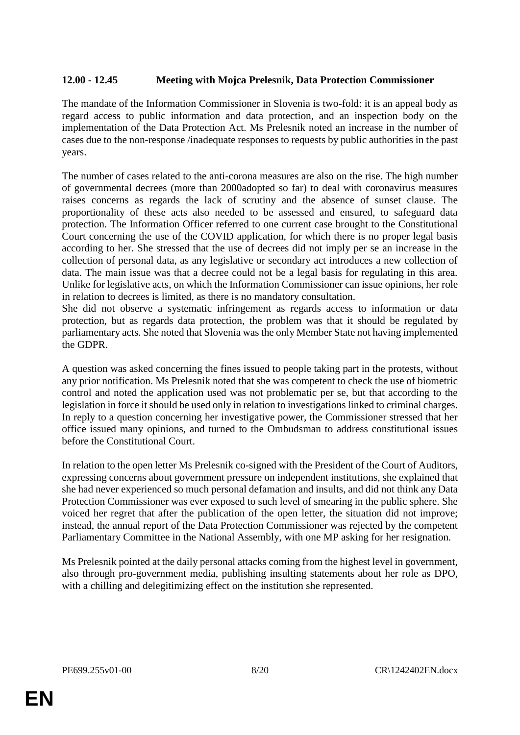### **12.00 - 12.45 Meeting with Mojca Prelesnik, Data Protection Commissioner**

The mandate of the Information Commissioner in Slovenia is two-fold: it is an appeal body as regard access to public information and data protection, and an inspection body on the implementation of the Data Protection Act. Ms Prelesnik noted an increase in the number of cases due to the non-response /inadequate responses to requests by public authorities in the past years.

The number of cases related to the anti-corona measures are also on the rise. The high number of governmental decrees (more than 2000adopted so far) to deal with coronavirus measures raises concerns as regards the lack of scrutiny and the absence of sunset clause. The proportionality of these acts also needed to be assessed and ensured, to safeguard data protection. The Information Officer referred to one current case brought to the Constitutional Court concerning the use of the COVID application, for which there is no proper legal basis according to her. She stressed that the use of decrees did not imply per se an increase in the collection of personal data, as any legislative or secondary act introduces a new collection of data. The main issue was that a decree could not be a legal basis for regulating in this area. Unlike for legislative acts, on which the Information Commissioner can issue opinions, her role in relation to decrees is limited, as there is no mandatory consultation.

She did not observe a systematic infringement as regards access to information or data protection, but as regards data protection, the problem was that it should be regulated by parliamentary acts. She noted that Slovenia was the only Member State not having implemented the GDPR.

A question was asked concerning the fines issued to people taking part in the protests, without any prior notification. Ms Prelesnik noted that she was competent to check the use of biometric control and noted the application used was not problematic per se, but that according to the legislation in force it should be used only in relation to investigations linked to criminal charges. In reply to a question concerning her investigative power, the Commissioner stressed that her office issued many opinions, and turned to the Ombudsman to address constitutional issues before the Constitutional Court.

In relation to the open letter Ms Prelesnik co-signed with the President of the Court of Auditors, expressing concerns about government pressure on independent institutions, she explained that she had never experienced so much personal defamation and insults, and did not think any Data Protection Commissioner was ever exposed to such level of smearing in the public sphere. She voiced her regret that after the publication of the open letter, the situation did not improve; instead, the annual report of the Data Protection Commissioner was rejected by the competent Parliamentary Committee in the National Assembly, with one MP asking for her resignation.

Ms Prelesnik pointed at the daily personal attacks coming from the highest level in government, also through pro-government media, publishing insulting statements about her role as DPO, with a chilling and delegitimizing effect on the institution she represented.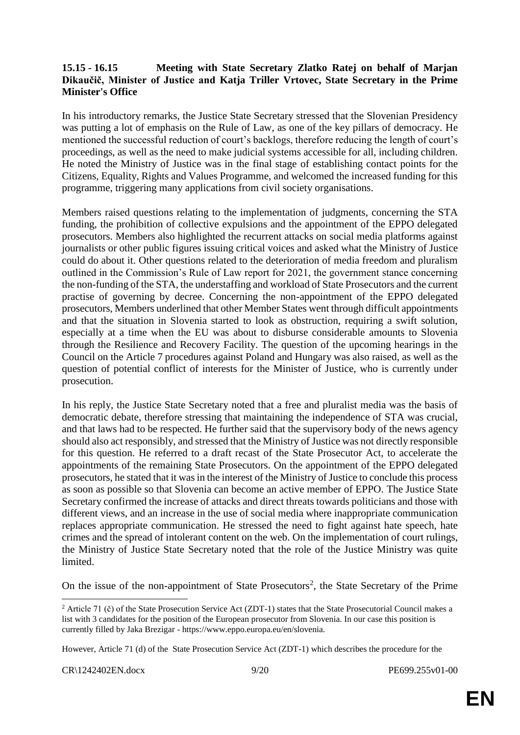#### **15.15 - 16.15 Meeting with State Secretary Zlatko Ratej on behalf of Marjan Dikaučič, Minister of Justice and Katja Triller Vrtovec, State Secretary in the Prime Minister's Office**

In his introductory remarks, the Justice State Secretary stressed that the Slovenian Presidency was putting a lot of emphasis on the Rule of Law, as one of the key pillars of democracy. He mentioned the successful reduction of court's backlogs, therefore reducing the length of court's proceedings, as well as the need to make judicial systems accessible for all, including children. He noted the Ministry of Justice was in the final stage of establishing contact points for the Citizens, Equality, Rights and Values Programme, and welcomed the increased funding for this programme, triggering many applications from civil society organisations.

Members raised questions relating to the implementation of judgments, concerning the STA funding, the prohibition of collective expulsions and the appointment of the EPPO delegated prosecutors. Members also highlighted the recurrent attacks on social media platforms against journalists or other public figures issuing critical voices and asked what the Ministry of Justice could do about it. Other questions related to the deterioration of media freedom and pluralism outlined in the Commission's Rule of Law report for 2021, the government stance concerning the non-funding of the STA, the understaffing and workload of State Prosecutors and the current practise of governing by decree. Concerning the non-appointment of the EPPO delegated prosecutors, Members underlined that other Member States went through difficult appointments and that the situation in Slovenia started to look as obstruction, requiring a swift solution, especially at a time when the EU was about to disburse considerable amounts to Slovenia through the Resilience and Recovery Facility. The question of the upcoming hearings in the Council on the Article 7 procedures against Poland and Hungary was also raised, as well as the question of potential conflict of interests for the Minister of Justice, who is currently under prosecution.

In his reply, the Justice State Secretary noted that a free and pluralist media was the basis of democratic debate, therefore stressing that maintaining the independence of STA was crucial, and that laws had to be respected. He further said that the supervisory body of the news agency should also act responsibly, and stressed that the Ministry of Justice was not directly responsible for this question. He referred to a draft recast of the State Prosecutor Act, to accelerate the appointments of the remaining State Prosecutors. On the appointment of the EPPO delegated prosecutors, he stated that it was in the interest of the Ministry of Justice to conclude this process as soon as possible so that Slovenia can become an active member of EPPO. The Justice State Secretary confirmed the increase of attacks and direct threats towards politicians and those with different views, and an increase in the use of social media where inappropriate communication replaces appropriate communication. He stressed the need to fight against hate speech, hate crimes and the spread of intolerant content on the web. On the implementation of court rulings, the Ministry of Justice State Secretary noted that the role of the Justice Ministry was quite limited.

On the issue of the non-appointment of State Prosecutors<sup>2</sup>, the State Secretary of the Prime

However, Article 71 (d) of the State Prosecution Service Act (ZDT-1) which describes the procedure for the

CR\1242402EN.docx 9/20 PE699.255v01-00

 $\overline{a}$ 

<sup>&</sup>lt;sup>2</sup> Article 71 (č) of the State Prosecution Service Act (ZDT-1) states that the State Prosecutorial Council makes a list with 3 candidates for the position of the European prosecutor from Slovenia. In our case this position is currently filled by Jaka Brezigar - https://www.eppo.europa.eu/en/slovenia.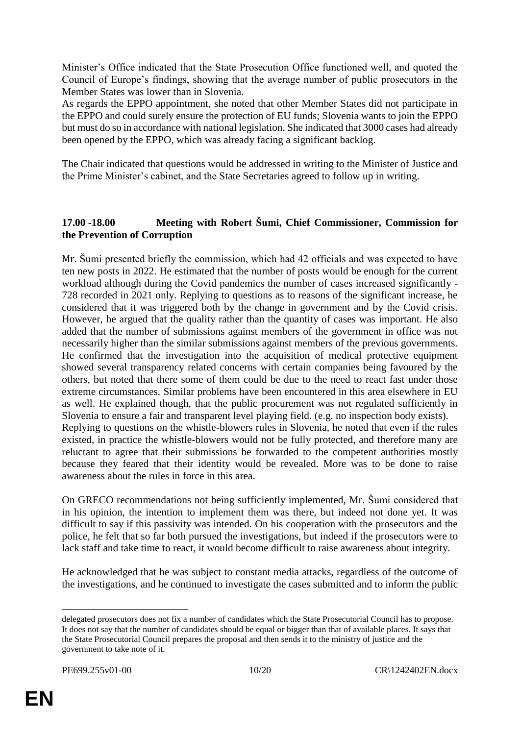Minister's Office indicated that the State Prosecution Office functioned well, and quoted the Council of Europe's findings, showing that the average number of public prosecutors in the Member States was lower than in Slovenia.

As regards the EPPO appointment, she noted that other Member States did not participate in the EPPO and could surely ensure the protection of EU funds; Slovenia wants to join the EPPO but must do so in accordance with national legislation. She indicated that 3000 cases had already been opened by the EPPO, which was already facing a significant backlog.

The Chair indicated that questions would be addressed in writing to the Minister of Justice and the Prime Minister's cabinet, and the State Secretaries agreed to follow up in writing.

#### **17.00 -18.00 Meeting with Robert Šumi, Chief Commissioner, Commission for the Prevention of Corruption**

Mr. Šumi presented briefly the commission, which had 42 officials and was expected to have ten new posts in 2022. He estimated that the number of posts would be enough for the current workload although during the Covid pandemics the number of cases increased significantly - 728 recorded in 2021 only. Replying to questions as to reasons of the significant increase, he considered that it was triggered both by the change in government and by the Covid crisis. However, he argued that the quality rather than the quantity of cases was important. He also added that the number of submissions against members of the government in office was not necessarily higher than the similar submissions against members of the previous governments. He confirmed that the investigation into the acquisition of medical protective equipment showed several transparency related concerns with certain companies being favoured by the others, but noted that there some of them could be due to the need to react fast under those extreme circumstances. Similar problems have been encountered in this area elsewhere in EU as well. He explained though, that the public procurement was not regulated sufficiently in Slovenia to ensure a fair and transparent level playing field. (e.g. no inspection body exists). Replying to questions on the whistle-blowers rules in Slovenia, he noted that even if the rules existed, in practice the whistle-blowers would not be fully protected, and therefore many are reluctant to agree that their submissions be forwarded to the competent authorities mostly because they feared that their identity would be revealed. More was to be done to raise awareness about the rules in force in this area.

On GRECO recommendations not being sufficiently implemented, Mr. Šumi considered that in his opinion, the intention to implement them was there, but indeed not done yet. It was difficult to say if this passivity was intended. On his cooperation with the prosecutors and the police, he felt that so far both pursued the investigations, but indeed if the prosecutors were to lack staff and take time to react, it would become difficult to raise awareness about integrity.

He acknowledged that he was subject to constant media attacks, regardless of the outcome of the investigations, and he continued to investigate the cases submitted and to inform the public

 $\overline{a}$ 

delegated prosecutors does not fix a number of candidates which the State Prosecutorial Council has to propose. It does not say that the number of candidates should be equal or bigger than that of available places. It says that the State Prosecutorial Council prepares the proposal and then sends it to the ministry of justice and the government to take note of it.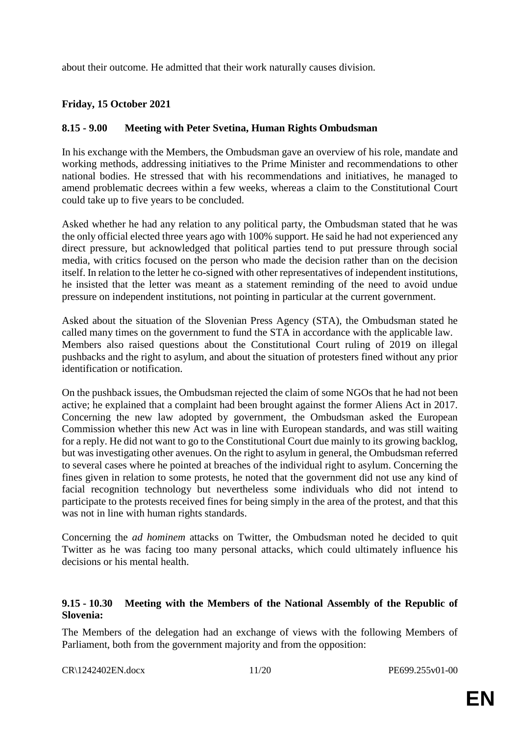about their outcome. He admitted that their work naturally causes division.

### **Friday, 15 October 2021**

#### **8.15 - 9.00 Meeting with Peter Svetina, Human Rights Ombudsman**

In his exchange with the Members, the Ombudsman gave an overview of his role, mandate and working methods, addressing initiatives to the Prime Minister and recommendations to other national bodies. He stressed that with his recommendations and initiatives, he managed to amend problematic decrees within a few weeks, whereas a claim to the Constitutional Court could take up to five years to be concluded.

Asked whether he had any relation to any political party, the Ombudsman stated that he was the only official elected three years ago with 100% support. He said he had not experienced any direct pressure, but acknowledged that political parties tend to put pressure through social media, with critics focused on the person who made the decision rather than on the decision itself. In relation to the letter he co-signed with other representatives of independent institutions, he insisted that the letter was meant as a statement reminding of the need to avoid undue pressure on independent institutions, not pointing in particular at the current government.

Asked about the situation of the Slovenian Press Agency (STA), the Ombudsman stated he called many times on the government to fund the STA in accordance with the applicable law. Members also raised questions about the Constitutional Court ruling of 2019 on illegal pushbacks and the right to asylum, and about the situation of protesters fined without any prior identification or notification.

On the pushback issues, the Ombudsman rejected the claim of some NGOs that he had not been active; he explained that a complaint had been brought against the former Aliens Act in 2017. Concerning the new law adopted by government, the Ombudsman asked the European Commission whether this new Act was in line with European standards, and was still waiting for a reply. He did not want to go to the Constitutional Court due mainly to its growing backlog, but was investigating other avenues. On the right to asylum in general, the Ombudsman referred to several cases where he pointed at breaches of the individual right to asylum. Concerning the fines given in relation to some protests, he noted that the government did not use any kind of facial recognition technology but nevertheless some individuals who did not intend to participate to the protests received fines for being simply in the area of the protest, and that this was not in line with human rights standards.

Concerning the *ad hominem* attacks on Twitter, the Ombudsman noted he decided to quit Twitter as he was facing too many personal attacks, which could ultimately influence his decisions or his mental health.

#### **9.15 - 10.30 Meeting with the Members of the National Assembly of the Republic of Slovenia:**

The Members of the delegation had an exchange of views with the following Members of Parliament, both from the government majority and from the opposition:

CR\1242402EN.docx 11/20 PE699.255v01-00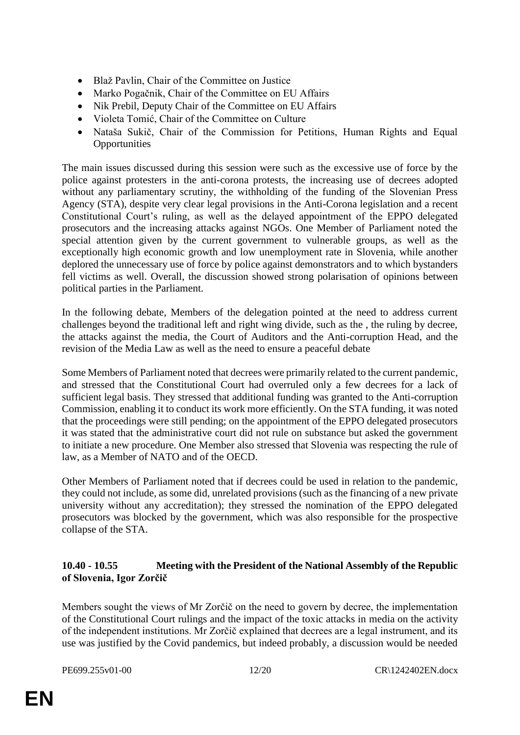- Blaž Pavlin, Chair of the Committee on Justice
- Marko Pogačnik, Chair of the Committee on EU Affairs
- Nik Prebil, Deputy Chair of the Committee on EU Affairs
- Violeta Tomić, Chair of the Committee on Culture
- Nataša Sukič, Chair of the Commission for Petitions, Human Rights and Equal **Opportunities**

The main issues discussed during this session were such as the excessive use of force by the police against protesters in the anti-corona protests, the increasing use of decrees adopted without any parliamentary scrutiny, the withholding of the funding of the Slovenian Press Agency (STA), despite very clear legal provisions in the Anti-Corona legislation and a recent Constitutional Court's ruling, as well as the delayed appointment of the EPPO delegated prosecutors and the increasing attacks against NGOs. One Member of Parliament noted the special attention given by the current government to vulnerable groups, as well as the exceptionally high economic growth and low unemployment rate in Slovenia, while another deplored the unnecessary use of force by police against demonstrators and to which bystanders fell victims as well. Overall, the discussion showed strong polarisation of opinions between political parties in the Parliament.

In the following debate, Members of the delegation pointed at the need to address current challenges beyond the traditional left and right wing divide, such as the , the ruling by decree, the attacks against the media, the Court of Auditors and the Anti-corruption Head, and the revision of the Media Law as well as the need to ensure a peaceful debate

Some Members of Parliament noted that decrees were primarily related to the current pandemic, and stressed that the Constitutional Court had overruled only a few decrees for a lack of sufficient legal basis. They stressed that additional funding was granted to the Anti-corruption Commission, enabling it to conduct its work more efficiently. On the STA funding, it was noted that the proceedings were still pending; on the appointment of the EPPO delegated prosecutors it was stated that the administrative court did not rule on substance but asked the government to initiate a new procedure. One Member also stressed that Slovenia was respecting the rule of law, as a Member of NATO and of the OECD.

Other Members of Parliament noted that if decrees could be used in relation to the pandemic, they could not include, as some did, unrelated provisions (such as the financing of a new private university without any accreditation); they stressed the nomination of the EPPO delegated prosecutors was blocked by the government, which was also responsible for the prospective collapse of the STA.

#### **10.40 - 10.55 Meeting with the President of the National Assembly of the Republic of Slovenia, Igor Zorčič**

Members sought the views of Mr Zorčič on the need to govern by decree, the implementation of the Constitutional Court rulings and the impact of the toxic attacks in media on the activity of the independent institutions. Mr Zorčič explained that decrees are a legal instrument, and its use was justified by the Covid pandemics, but indeed probably, a discussion would be needed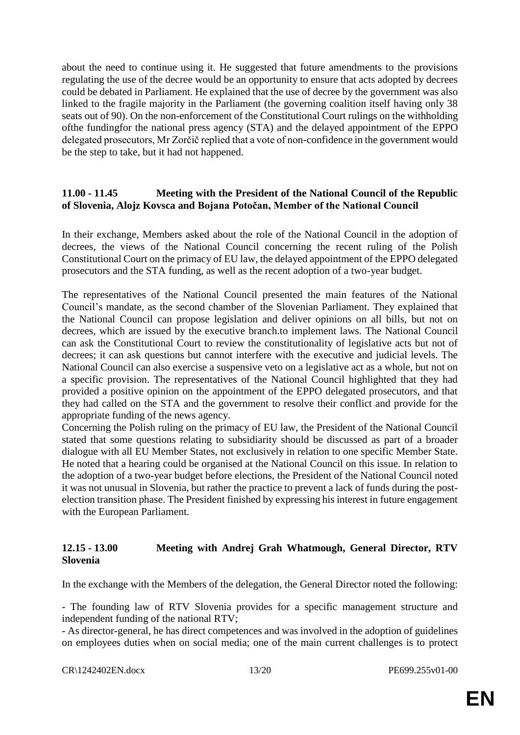about the need to continue using it. He suggested that future amendments to the provisions regulating the use of the decree would be an opportunity to ensure that acts adopted by decrees could be debated in Parliament. He explained that the use of decree by the government was also linked to the fragile majority in the Parliament (the governing coalition itself having only 38 seats out of 90). On the non-enforcement of the Constitutional Court rulings on the withholding ofthe fundingfor the national press agency (STA) and the delayed appointment of the EPPO delegated prosecutors, Mr Zorčič replied that a vote of non-confidence in the government would be the step to take, but it had not happened.

#### **11.00 - 11.45 Meeting with the President of the National Council of the Republic of Slovenia, Alojz Kovsca and Bojana Potočan, Member of the National Council**

In their exchange, Members asked about the role of the National Council in the adoption of decrees, the views of the National Council concerning the recent ruling of the Polish Constitutional Court on the primacy of EU law, the delayed appointment of the EPPO delegated prosecutors and the STA funding, as well as the recent adoption of a two-year budget.

The representatives of the National Council presented the main features of the National Council's mandate, as the second chamber of the Slovenian Parliament. They explained that the National Council can propose legislation and deliver opinions on all bills, but not on decrees, which are issued by the executive branch.to implement laws. The National Council can ask the Constitutional Court to review the constitutionality of legislative acts but not of decrees; it can ask questions but cannot interfere with the executive and judicial levels. The National Council can also exercise a suspensive veto on a legislative act as a whole, but not on a specific provision. The representatives of the National Council highlighted that they had provided a positive opinion on the appointment of the EPPO delegated prosecutors, and that they had called on the STA and the government to resolve their conflict and provide for the appropriate funding of the news agency.

Concerning the Polish ruling on the primacy of EU law, the President of the National Council stated that some questions relating to subsidiarity should be discussed as part of a broader dialogue with all EU Member States, not exclusively in relation to one specific Member State. He noted that a hearing could be organised at the National Council on this issue. In relation to the adoption of a two-year budget before elections, the President of the National Council noted it was not unusual in Slovenia, but rather the practice to prevent a lack of funds during the postelection transition phase. The President finished by expressing his interest in future engagement with the European Parliament.

#### **12.15 - 13.00 Meeting with Andrej Grah Whatmough, General Director, RTV Slovenia**

In the exchange with the Members of the delegation, the General Director noted the following:

- The founding law of RTV Slovenia provides for a specific management structure and independent funding of the national RTV;

- As director-general, he has direct competences and was involved in the adoption of guidelines on employees duties when on social media; one of the main current challenges is to protect

CR\1242402EN.docx 13/20 PE699.255v01-00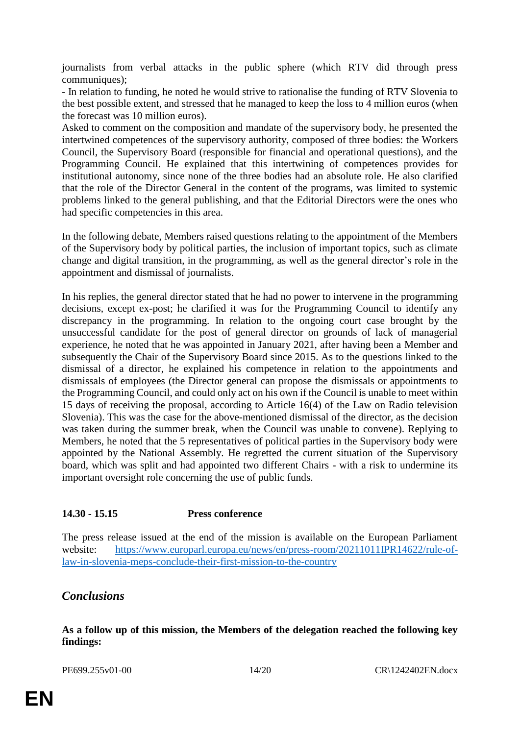journalists from verbal attacks in the public sphere (which RTV did through press communiques);

- In relation to funding, he noted he would strive to rationalise the funding of RTV Slovenia to the best possible extent, and stressed that he managed to keep the loss to 4 million euros (when the forecast was 10 million euros).

Asked to comment on the composition and mandate of the supervisory body, he presented the intertwined competences of the supervisory authority, composed of three bodies: the Workers Council, the Supervisory Board (responsible for financial and operational questions), and the Programming Council. He explained that this intertwining of competences provides for institutional autonomy, since none of the three bodies had an absolute role. He also clarified that the role of the Director General in the content of the programs, was limited to systemic problems linked to the general publishing, and that the Editorial Directors were the ones who had specific competencies in this area.

In the following debate, Members raised questions relating to the appointment of the Members of the Supervisory body by political parties, the inclusion of important topics, such as climate change and digital transition, in the programming, as well as the general director's role in the appointment and dismissal of journalists.

In his replies, the general director stated that he had no power to intervene in the programming decisions, except ex-post; he clarified it was for the Programming Council to identify any discrepancy in the programming. In relation to the ongoing court case brought by the unsuccessful candidate for the post of general director on grounds of lack of managerial experience, he noted that he was appointed in January 2021, after having been a Member and subsequently the Chair of the Supervisory Board since 2015. As to the questions linked to the dismissal of a director, he explained his competence in relation to the appointments and dismissals of employees (the Director general can propose the dismissals or appointments to the Programming Council, and could only act on his own if the Council is unable to meet within 15 days of receiving the proposal, according to Article 16(4) of the Law on Radio television Slovenia). This was the case for the above-mentioned dismissal of the director, as the decision was taken during the summer break, when the Council was unable to convene). Replying to Members, he noted that the 5 representatives of political parties in the Supervisory body were appointed by the National Assembly. He regretted the current situation of the Supervisory board, which was split and had appointed two different Chairs - with a risk to undermine its important oversight role concerning the use of public funds.

### **14.30 - 15.15 Press conference**

The press release issued at the end of the mission is available on the European Parliament website: [https://www.europarl.europa.eu/news/en/press-room/20211011IPR14622/rule-of](https://www.europarl.europa.eu/news/en/press-room/20211011IPR14622/rule-of-law-in-slovenia-meps-conclude-their-first-mission-to-the-country)[law-in-slovenia-meps-conclude-their-first-mission-to-the-country](https://www.europarl.europa.eu/news/en/press-room/20211011IPR14622/rule-of-law-in-slovenia-meps-conclude-their-first-mission-to-the-country)

### *Conclusions*

**As a follow up of this mission, the Members of the delegation reached the following key findings:**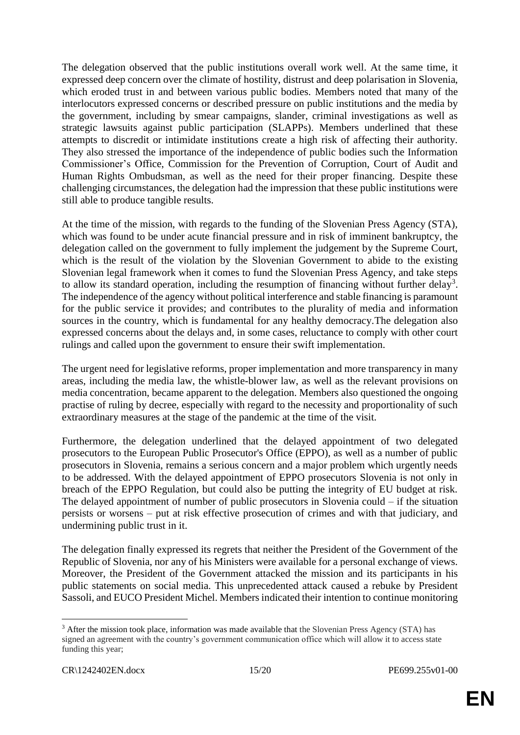The delegation observed that the public institutions overall work well. At the same time, it expressed deep concern over the climate of hostility, distrust and deep polarisation in Slovenia, which eroded trust in and between various public bodies. Members noted that many of the interlocutors expressed concerns or described pressure on public institutions and the media by the government, including by smear campaigns, slander, criminal investigations as well as strategic lawsuits against public participation (SLAPPs). Members underlined that these attempts to discredit or intimidate institutions create a high risk of affecting their authority. They also stressed the importance of the independence of public bodies such the Information Commissioner's Office, Commission for the Prevention of Corruption, Court of Audit and Human Rights Ombudsman, as well as the need for their proper financing. Despite these challenging circumstances, the delegation had the impression that these public institutions were still able to produce tangible results.

At the time of the mission, with regards to the funding of the Slovenian Press Agency (STA), which was found to be under acute financial pressure and in risk of imminent bankruptcy, the delegation called on the government to fully implement the judgement by the Supreme Court, which is the result of the violation by the Slovenian Government to abide to the existing Slovenian legal framework when it comes to fund the Slovenian Press Agency, and take steps to allow its standard operation, including the resumption of financing without further delay<sup>3</sup>. The independence of the agency without political interference and stable financing is paramount for the public service it provides; and contributes to the plurality of media and information sources in the country, which is fundamental for any healthy democracy.The delegation also expressed concerns about the delays and, in some cases, reluctance to comply with other court rulings and called upon the government to ensure their swift implementation.

The urgent need for legislative reforms, proper implementation and more transparency in many areas, including the media law, the whistle-blower law, as well as the relevant provisions on media concentration, became apparent to the delegation. Members also questioned the ongoing practise of ruling by decree, especially with regard to the necessity and proportionality of such extraordinary measures at the stage of the pandemic at the time of the visit.

Furthermore, the delegation underlined that the delayed appointment of two delegated prosecutors to the European Public Prosecutor's Office (EPPO), as well as a number of public prosecutors in Slovenia, remains a serious concern and a major problem which urgently needs to be addressed. With the delayed appointment of EPPO prosecutors Slovenia is not only in breach of the EPPO Regulation, but could also be putting the integrity of EU budget at risk. The delayed appointment of number of public prosecutors in Slovenia could – if the situation persists or worsens – put at risk effective prosecution of crimes and with that judiciary, and undermining public trust in it.

The delegation finally expressed its regrets that neither the President of the Government of the Republic of Slovenia, nor any of his Ministers were available for a personal exchange of views. Moreover, the President of the Government attacked the mission and its participants in his public statements on social media. This unprecedented attack caused a rebuke by President Sassoli, and EUCO President Michel. Members indicated their intention to continue monitoring

 $\overline{a}$ 

<sup>&</sup>lt;sup>3</sup> After the mission took place, information was made available that the Slovenian Press Agency (STA) has signed an agreement with the country's government communication office which will allow it to access state funding this year;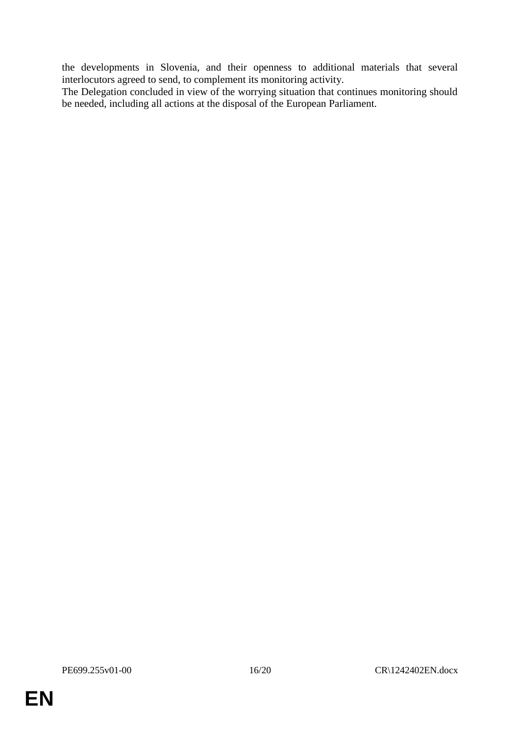the developments in Slovenia, and their openness to additional materials that several interlocutors agreed to send, to complement its monitoring activity.

The Delegation concluded in view of the worrying situation that continues monitoring should be needed, including all actions at the disposal of the European Parliament.

**EN**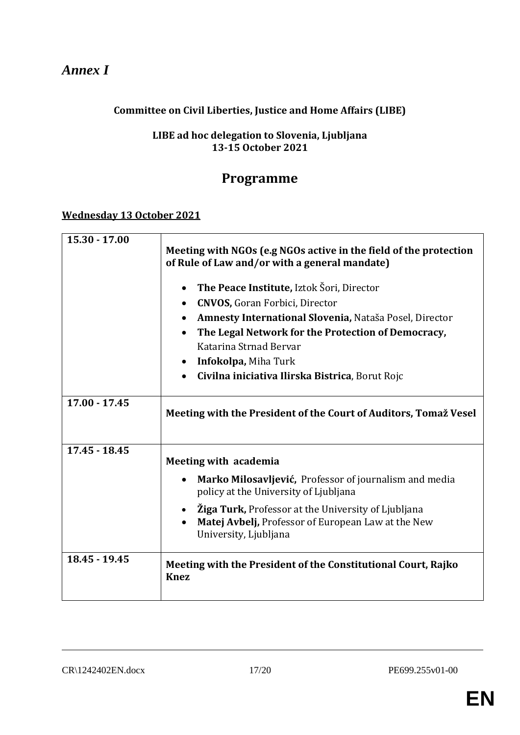# *Annex I*

# **Committee on Civil Liberties, Justice and Home Affairs (LIBE)**

## **LIBE ad hoc delegation to Slovenia, Ljubljana 13-15 October 2021**

# **Programme**

### **Wednesday 13 October 2021**

| $15.30 - 17.00$                    | Meeting with NGOs (e.g NGOs active in the field of the protection<br>of Rule of Law and/or with a general mandate)                        |  |  |  |
|------------------------------------|-------------------------------------------------------------------------------------------------------------------------------------------|--|--|--|
|                                    | The Peace Institute, Iztok Šori, Director<br>$\bullet$                                                                                    |  |  |  |
|                                    | <b>CNVOS, Goran Forbici, Director</b><br>$\bullet$                                                                                        |  |  |  |
|                                    | Amnesty International Slovenia, Nataša Posel, Director                                                                                    |  |  |  |
|                                    | The Legal Network for the Protection of Democracy,                                                                                        |  |  |  |
|                                    | Katarina Strnad Bervar                                                                                                                    |  |  |  |
|                                    | Infokolpa, Miha Turk<br>$\bullet$                                                                                                         |  |  |  |
|                                    | Civilna iniciativa Ilirska Bistrica, Borut Rojc                                                                                           |  |  |  |
| $17.00 - 17.45$<br>$17.45 - 18.45$ | Meeting with the President of the Court of Auditors, Tomaž Vesel                                                                          |  |  |  |
|                                    | Meeting with academia                                                                                                                     |  |  |  |
|                                    | Marko Milosavljević, Professor of journalism and media<br>policy at the University of Ljubljana                                           |  |  |  |
|                                    | <b>Žiga Turk, Professor at the University of Ljubljana</b><br>Matej Avbelj, Professor of European Law at the New<br>University, Ljubljana |  |  |  |
| 18.45 - 19.45                      | Meeting with the President of the Constitutional Court, Rajko<br><b>Knez</b>                                                              |  |  |  |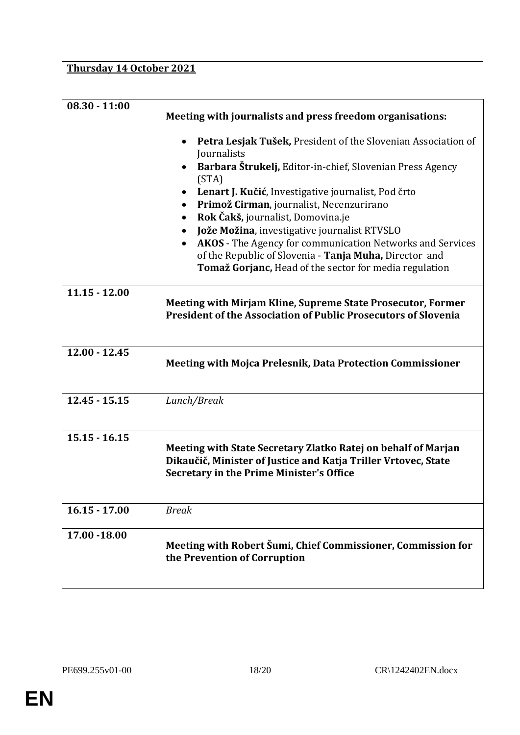# **Thursday 14 October 2021**

| $08.30 - 11:00$ | Meeting with journalists and press freedom organisations:<br>Petra Lesjak Tušek, President of the Slovenian Association of<br>Journalists<br>Barbara Štrukelj, Editor-in-chief, Slovenian Press Agency                                                                                                                                                                                                          |  |  |  |
|-----------------|-----------------------------------------------------------------------------------------------------------------------------------------------------------------------------------------------------------------------------------------------------------------------------------------------------------------------------------------------------------------------------------------------------------------|--|--|--|
|                 |                                                                                                                                                                                                                                                                                                                                                                                                                 |  |  |  |
|                 | (STA)<br>Lenart J. Kučić, Investigative journalist, Pod črto<br>Primož Cirman, journalist, Necenzurirano<br>Rok Čakš, journalist, Domovina.je<br>Jože Možina, investigative journalist RTVSLO<br>$\bullet$<br><b>AKOS</b> - The Agency for communication Networks and Services<br>$\bullet$<br>of the Republic of Slovenia - Tanja Muha, Director and<br>Tomaž Gorjanc, Head of the sector for media regulation |  |  |  |
| $11.15 - 12.00$ | Meeting with Mirjam Kline, Supreme State Prosecutor, Former<br><b>President of the Association of Public Prosecutors of Slovenia</b>                                                                                                                                                                                                                                                                            |  |  |  |
| $12.00 - 12.45$ | <b>Meeting with Mojca Prelesnik, Data Protection Commissioner</b>                                                                                                                                                                                                                                                                                                                                               |  |  |  |
| $12.45 - 15.15$ | Lunch/Break                                                                                                                                                                                                                                                                                                                                                                                                     |  |  |  |
| $15.15 - 16.15$ | Meeting with State Secretary Zlatko Ratej on behalf of Marjan<br>Dikaučič, Minister of Justice and Katja Triller Vrtovec, State<br><b>Secretary in the Prime Minister's Office</b>                                                                                                                                                                                                                              |  |  |  |
| $16.15 - 17.00$ | <b>Break</b>                                                                                                                                                                                                                                                                                                                                                                                                    |  |  |  |
| 17.00 - 18.00   | Meeting with Robert Šumi, Chief Commissioner, Commission for<br>the Prevention of Corruption                                                                                                                                                                                                                                                                                                                    |  |  |  |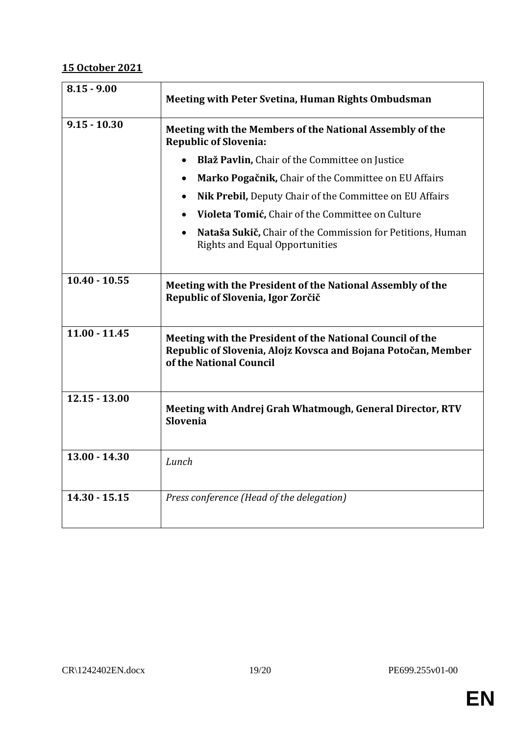# **15 October 2021**

| $8.15 - 9.00$   | Meeting with Peter Svetina, Human Rights Ombudsman                                                                                                    |  |  |  |  |
|-----------------|-------------------------------------------------------------------------------------------------------------------------------------------------------|--|--|--|--|
| $9.15 - 10.30$  | Meeting with the Members of the National Assembly of the<br><b>Republic of Slovenia:</b>                                                              |  |  |  |  |
|                 | Blaž Pavlin, Chair of the Committee on Justice                                                                                                        |  |  |  |  |
|                 | Marko Pogačnik, Chair of the Committee on EU Affairs<br>$\bullet$                                                                                     |  |  |  |  |
|                 | Nik Prebil, Deputy Chair of the Committee on EU Affairs                                                                                               |  |  |  |  |
|                 | Violeta Tomić, Chair of the Committee on Culture                                                                                                      |  |  |  |  |
|                 | Nataša Sukič, Chair of the Commission for Petitions, Human<br><b>Rights and Equal Opportunities</b>                                                   |  |  |  |  |
| $10.40 - 10.55$ | Meeting with the President of the National Assembly of the<br>Republic of Slovenia, Igor Zorčič                                                       |  |  |  |  |
| $11.00 - 11.45$ | Meeting with the President of the National Council of the<br>Republic of Slovenia, Alojz Kovsca and Bojana Potočan, Member<br>of the National Council |  |  |  |  |
| $12.15 - 13.00$ | Meeting with Andrej Grah Whatmough, General Director, RTV<br><b>Slovenia</b>                                                                          |  |  |  |  |
| $13.00 - 14.30$ | Lunch                                                                                                                                                 |  |  |  |  |
| $14.30 - 15.15$ | Press conference (Head of the delegation)                                                                                                             |  |  |  |  |